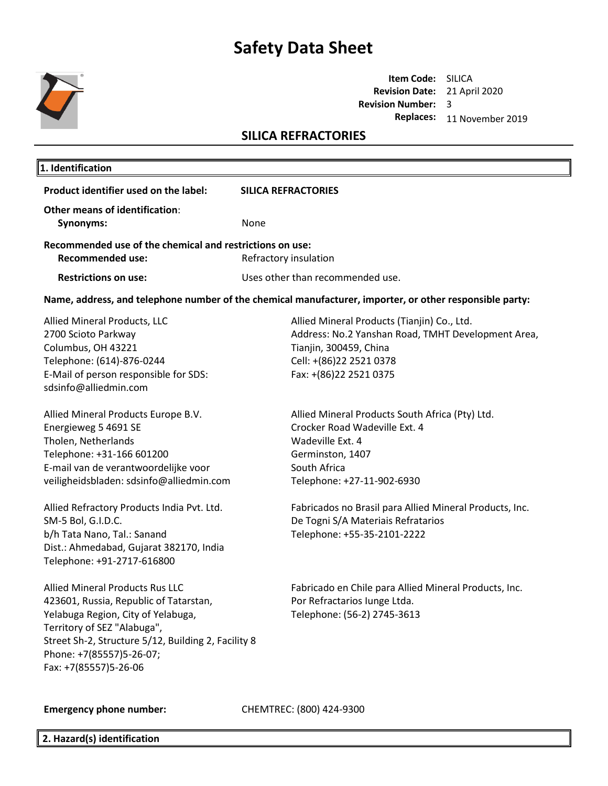

### **Item Code:** SILICA **Revision Date:** 21 April 2020 **Revision Number:**  3 **Replaces:** 11 November 2019

## **SILICA REFRACTORIES**

| 1. Identification                                                                                                                                                                                                                                          |                                                                                                                                                                                  |  |  |
|------------------------------------------------------------------------------------------------------------------------------------------------------------------------------------------------------------------------------------------------------------|----------------------------------------------------------------------------------------------------------------------------------------------------------------------------------|--|--|
| Product identifier used on the label:                                                                                                                                                                                                                      | <b>SILICA REFRACTORIES</b>                                                                                                                                                       |  |  |
| Other means of identification:<br>Synonyms:                                                                                                                                                                                                                | None                                                                                                                                                                             |  |  |
| Recommended use of the chemical and restrictions on use:<br><b>Recommended use:</b>                                                                                                                                                                        | Refractory insulation                                                                                                                                                            |  |  |
| <b>Restrictions on use:</b>                                                                                                                                                                                                                                | Uses other than recommended use.                                                                                                                                                 |  |  |
|                                                                                                                                                                                                                                                            | Name, address, and telephone number of the chemical manufacturer, importer, or other responsible party:                                                                          |  |  |
| Allied Mineral Products, LLC<br>2700 Scioto Parkway<br>Columbus, OH 43221<br>Telephone: (614)-876-0244<br>E-Mail of person responsible for SDS:<br>sdsinfo@alliedmin.com                                                                                   | Allied Mineral Products (Tianjin) Co., Ltd.<br>Address: No.2 Yanshan Road, TMHT Development Area,<br>Tianjin, 300459, China<br>Cell: +(86)22 2521 0378<br>Fax: +(86)22 2521 0375 |  |  |
| Allied Mineral Products Europe B.V.<br>Energieweg 5 4691 SE<br>Tholen, Netherlands<br>Telephone: +31-166 601200<br>E-mail van de verantwoordelijke voor<br>veiligheidsbladen: sdsinfo@alliedmin.com                                                        | Allied Mineral Products South Africa (Pty) Ltd.<br>Crocker Road Wadeville Ext. 4<br>Wadeville Ext. 4<br>Germinston, 1407<br>South Africa<br>Telephone: +27-11-902-6930           |  |  |
| Allied Refractory Products India Pvt. Ltd.<br>SM-5 Bol, G.I.D.C.<br>b/h Tata Nano, Tal.: Sanand<br>Dist.: Ahmedabad, Gujarat 382170, India<br>Telephone: +91-2717-616800                                                                                   | Fabricados no Brasil para Allied Mineral Products, Inc.<br>De Togni S/A Materiais Refratarios<br>Telephone: +55-35-2101-2222                                                     |  |  |
| Allied Mineral Products Rus LLC<br>423601, Russia, Republic of Tatarstan,<br>Yelabuga Region, City of Yelabuga,<br>Territory of SEZ "Alabuga",<br>Street Sh-2, Structure 5/12, Building 2, Facility 8<br>Phone: +7(85557)5-26-07;<br>Fax: +7(85557)5-26-06 | Fabricado en Chile para Allied Mineral Products, Inc.<br>Por Refractarios lunge Ltda.<br>Telephone: (56-2) 2745-3613                                                             |  |  |
| <b>Emergency phone number:</b>                                                                                                                                                                                                                             | CHEMTREC: (800) 424-9300                                                                                                                                                         |  |  |

**2. Hazard(s) identification**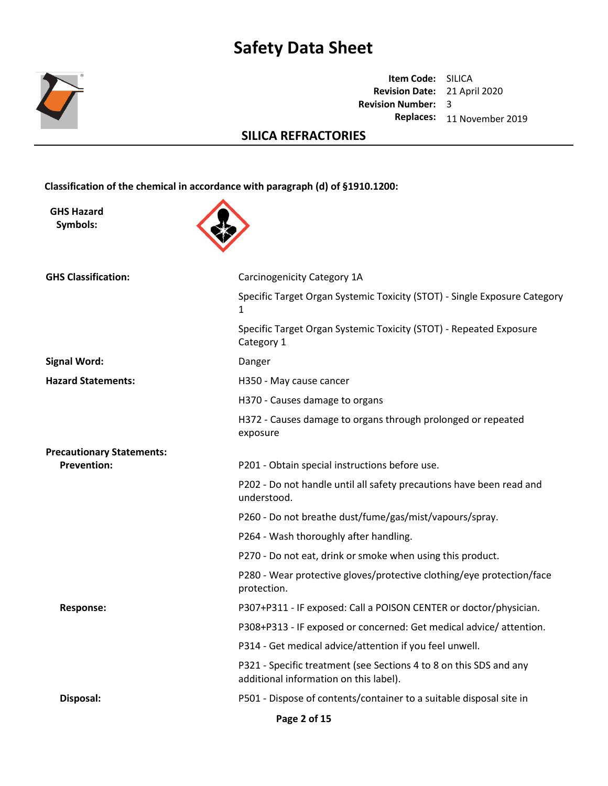

**Item Code:** SILICA **Revision Date:** 21 April 2020 **Revision Number:**  3 **Replaces:** 11 November 2019

## **SILICA REFRACTORIES**

**Classification of the chemical in accordance with paragraph (d) of §1910.1200:**

**GHS Hazard Symbols:**



| <b>GHS Classification:</b>       | Carcinogenicity Category 1A                                                                                  |
|----------------------------------|--------------------------------------------------------------------------------------------------------------|
|                                  | Specific Target Organ Systemic Toxicity (STOT) - Single Exposure Category<br>1                               |
|                                  | Specific Target Organ Systemic Toxicity (STOT) - Repeated Exposure<br>Category 1                             |
| <b>Signal Word:</b>              | Danger                                                                                                       |
| <b>Hazard Statements:</b>        | H350 - May cause cancer                                                                                      |
|                                  | H370 - Causes damage to organs                                                                               |
|                                  | H372 - Causes damage to organs through prolonged or repeated<br>exposure                                     |
| <b>Precautionary Statements:</b> |                                                                                                              |
| <b>Prevention:</b>               | P201 - Obtain special instructions before use.                                                               |
|                                  | P202 - Do not handle until all safety precautions have been read and<br>understood.                          |
|                                  | P260 - Do not breathe dust/fume/gas/mist/vapours/spray.                                                      |
|                                  | P264 - Wash thoroughly after handling.                                                                       |
|                                  | P270 - Do not eat, drink or smoke when using this product.                                                   |
|                                  | P280 - Wear protective gloves/protective clothing/eye protection/face<br>protection.                         |
| <b>Response:</b>                 | P307+P311 - IF exposed: Call a POISON CENTER or doctor/physician.                                            |
|                                  | P308+P313 - IF exposed or concerned: Get medical advice/attention.                                           |
|                                  | P314 - Get medical advice/attention if you feel unwell.                                                      |
|                                  | P321 - Specific treatment (see Sections 4 to 8 on this SDS and any<br>additional information on this label). |
| Disposal:                        | P501 - Dispose of contents/container to a suitable disposal site in                                          |
|                                  | Page 2 of 15                                                                                                 |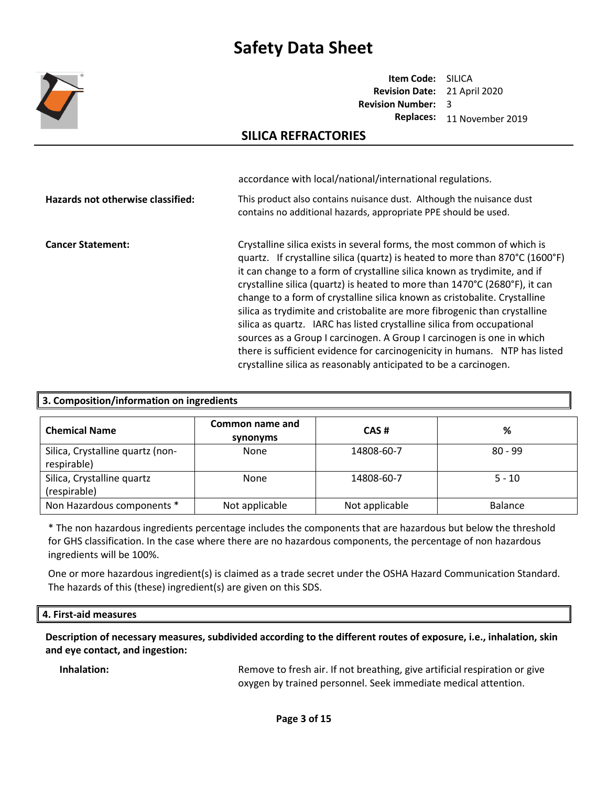

**Item Code:** SILICA **Revision Date:** 21 April 2020 **Revision Number:**  3 **Replaces:** 11 November 2019

### **SILICA REFRACTORIES**

|                                   | accordance with local/national/international regulations.                                                                                                                                                                                                                                                                                                                                                                                                                                                                                                                                                                                                                                                                                                                        |
|-----------------------------------|----------------------------------------------------------------------------------------------------------------------------------------------------------------------------------------------------------------------------------------------------------------------------------------------------------------------------------------------------------------------------------------------------------------------------------------------------------------------------------------------------------------------------------------------------------------------------------------------------------------------------------------------------------------------------------------------------------------------------------------------------------------------------------|
| Hazards not otherwise classified: | This product also contains nuisance dust. Although the nuisance dust<br>contains no additional hazards, appropriate PPE should be used.                                                                                                                                                                                                                                                                                                                                                                                                                                                                                                                                                                                                                                          |
| <b>Cancer Statement:</b>          | Crystalline silica exists in several forms, the most common of which is<br>quartz. If crystalline silica (quartz) is heated to more than 870°C (1600°F)<br>it can change to a form of crystalline silica known as trydimite, and if<br>crystalline silica (quartz) is heated to more than 1470°C (2680°F), it can<br>change to a form of crystalline silica known as cristobalite. Crystalline<br>silica as trydimite and cristobalite are more fibrogenic than crystalline<br>silica as quartz. IARC has listed crystalline silica from occupational<br>sources as a Group I carcinogen. A Group I carcinogen is one in which<br>there is sufficient evidence for carcinogenicity in humans. NTP has listed<br>crystalline silica as reasonably anticipated to be a carcinogen. |

| 3. Composition/information on ingredients       |                             |                |                |
|-------------------------------------------------|-----------------------------|----------------|----------------|
| <b>Chemical Name</b>                            | Common name and<br>synonyms | CAS#           | %              |
| Silica, Crystalline quartz (non-<br>respirable) | None                        | 14808-60-7     | $80 - 99$      |
| Silica, Crystalline quartz<br>(respirable)      | None                        | 14808-60-7     | $5 - 10$       |
| Non Hazardous components *                      | Not applicable              | Not applicable | <b>Balance</b> |

\* The non hazardous ingredients percentage includes the components that are hazardous but below the threshold for GHS classification. In the case where there are no hazardous components, the percentage of non hazardous ingredients will be 100%.

One or more hazardous ingredient(s) is claimed as a trade secret under the OSHA Hazard Communication Standard. The hazards of this (these) ingredient(s) are given on this SDS.

#### **4. First-aid measures**

**Description of necessary measures, subdivided according to the different routes of exposure, i.e., inhalation, skin and eye contact, and ingestion:** 

**Inhalation:** Remove to fresh air. If not breathing, give artificial respiration or give oxygen by trained personnel. Seek immediate medical attention.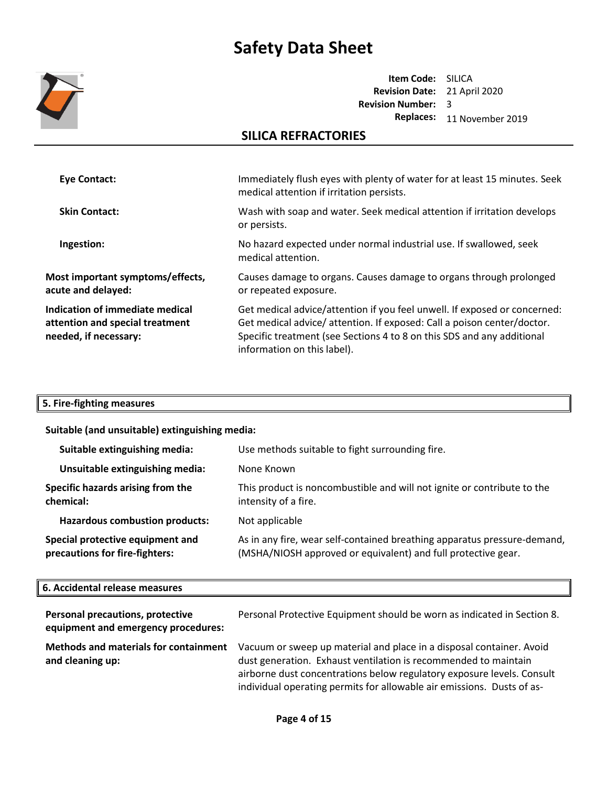

**Item Code:** SILICA **Revision Date:** 21 April 2020 **Revision Number:**  3 **Replaces:** 11 November 2019

## **SILICA REFRACTORIES**

| Eye Contact:                                                                                | Immediately flush eyes with plenty of water for at least 15 minutes. Seek<br>medical attention if irritation persists.                                                                                                                                       |
|---------------------------------------------------------------------------------------------|--------------------------------------------------------------------------------------------------------------------------------------------------------------------------------------------------------------------------------------------------------------|
| <b>Skin Contact:</b>                                                                        | Wash with soap and water. Seek medical attention if irritation develops<br>or persists.                                                                                                                                                                      |
| Ingestion:                                                                                  | No hazard expected under normal industrial use. If swallowed, seek<br>medical attention.                                                                                                                                                                     |
| Most important symptoms/effects,<br>acute and delayed:                                      | Causes damage to organs. Causes damage to organs through prolonged<br>or repeated exposure.                                                                                                                                                                  |
| Indication of immediate medical<br>attention and special treatment<br>needed, if necessary: | Get medical advice/attention if you feel unwell. If exposed or concerned:<br>Get medical advice/attention. If exposed: Call a poison center/doctor.<br>Specific treatment (see Sections 4 to 8 on this SDS and any additional<br>information on this label). |

### **5. Fire-fighting measures**

### **Suitable (and unsuitable) extinguishing media:**

| Suitable extinguishing media:                                      | Use methods suitable to fight surrounding fire.                                                                                           |
|--------------------------------------------------------------------|-------------------------------------------------------------------------------------------------------------------------------------------|
| Unsuitable extinguishing media:                                    | None Known                                                                                                                                |
| Specific hazards arising from the<br>chemical:                     | This product is noncombustible and will not ignite or contribute to the<br>intensity of a fire.                                           |
| <b>Hazardous combustion products:</b>                              | Not applicable                                                                                                                            |
| Special protective equipment and<br>precautions for fire-fighters: | As in any fire, wear self-contained breathing apparatus pressure-demand,<br>(MSHA/NIOSH approved or equivalent) and full protective gear. |

#### **6. Accidental release measures**

| Personal precautions, protective<br>equipment and emergency procedures: | Personal Protective Equipment should be worn as indicated in Section 8.                                                                                                                                                                                                                     |
|-------------------------------------------------------------------------|---------------------------------------------------------------------------------------------------------------------------------------------------------------------------------------------------------------------------------------------------------------------------------------------|
| Methods and materials for containment<br>and cleaning up:               | Vacuum or sweep up material and place in a disposal container. Avoid<br>dust generation. Exhaust ventilation is recommended to maintain<br>airborne dust concentrations below regulatory exposure levels. Consult<br>individual operating permits for allowable air emissions. Dusts of as- |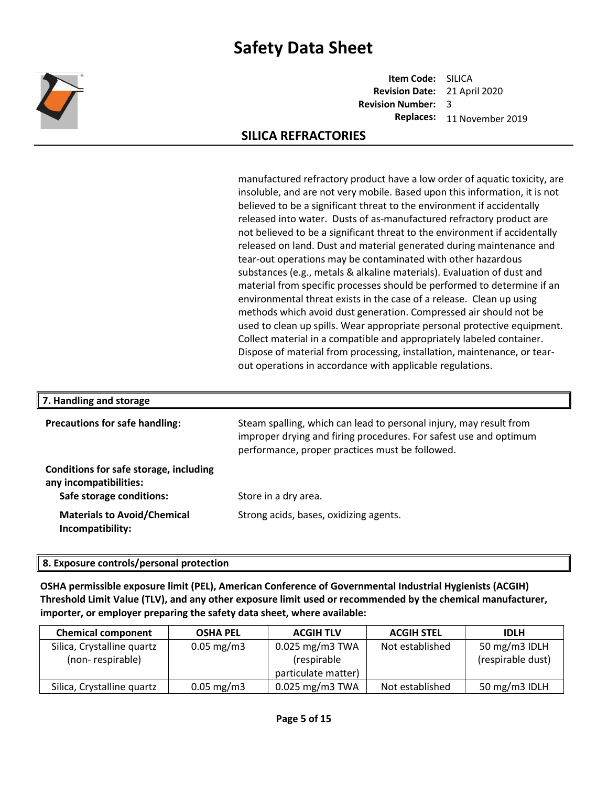

**Item Code:** SILICA **Revision Date:** 21 April 2020 **Revision Number:**  3 **Replaces:** 11 November 2019

## **SILICA REFRACTORIES**

manufactured refractory product have a low order of aquatic toxicity, are insoluble, and are not very mobile. Based upon this information, it is not believed to be a significant threat to the environment if accidentally released into water. Dusts of as-manufactured refractory product are not believed to be a significant threat to the environment if accidentally released on land. Dust and material generated during maintenance and tear-out operations may be contaminated with other hazardous substances (e.g., metals & alkaline materials). Evaluation of dust and material from specific processes should be performed to determine if an environmental threat exists in the case of a release. Clean up using methods which avoid dust generation. Compressed air should not be used to clean up spills. Wear appropriate personal protective equipment. Collect material in a compatible and appropriately labeled container. Dispose of material from processing, installation, maintenance, or tearout operations in accordance with applicable regulations.

| 7. Handling and storage                                          |                                                                                                                                                                                            |  |
|------------------------------------------------------------------|--------------------------------------------------------------------------------------------------------------------------------------------------------------------------------------------|--|
| <b>Precautions for safe handling:</b>                            | Steam spalling, which can lead to personal injury, may result from<br>improper drying and firing procedures. For safest use and optimum<br>performance, proper practices must be followed. |  |
| Conditions for safe storage, including<br>any incompatibilities: |                                                                                                                                                                                            |  |
| Safe storage conditions:                                         | Store in a dry area.                                                                                                                                                                       |  |
| <b>Materials to Avoid/Chemical</b><br>Incompatibility:           | Strong acids, bases, oxidizing agents.                                                                                                                                                     |  |

### **8. Exposure controls/personal protection**

**OSHA permissible exposure limit (PEL), American Conference of Governmental Industrial Hygienists (ACGIH) Threshold Limit Value (TLV), and any other exposure limit used or recommended by the chemical manufacturer, importer, or employer preparing the safety data sheet, where available:**

| <b>Chemical component</b>                      | <b>OSHA PEL</b>         | <b>ACGIH TLV</b>                                        | <b>ACGIH STEL</b> | <b>IDLH</b>                        |
|------------------------------------------------|-------------------------|---------------------------------------------------------|-------------------|------------------------------------|
| Silica, Crystalline quartz<br>(non-respirable) | $0.05 \,\mathrm{mg/m3}$ | $0.025$ mg/m3 TWA<br>(respirable<br>particulate matter) | Not established   | 50 mg/m3 IDLH<br>(respirable dust) |
| Silica, Crystalline quartz                     | $0.05 \,\mathrm{mg/m3}$ | $0.025$ mg/m3 TWA                                       | Not established   | 50 mg/m3 IDLH                      |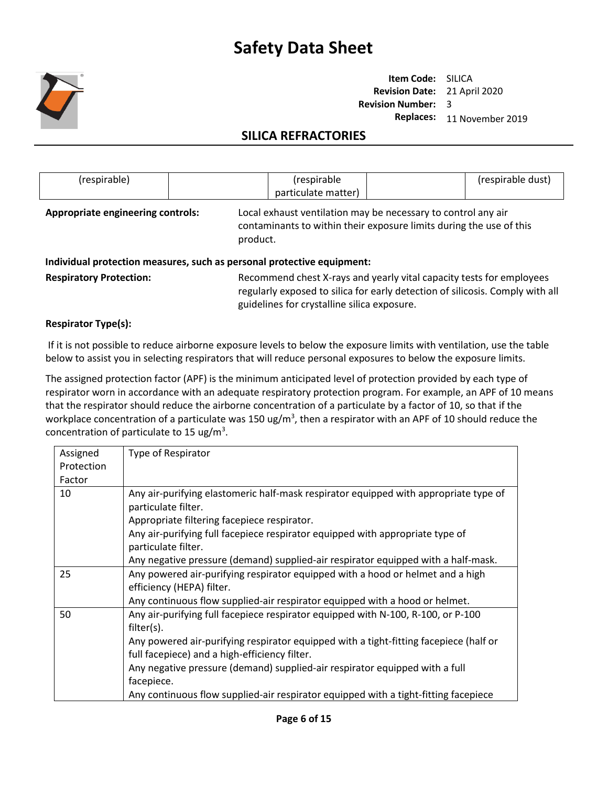

**Item Code:** SILICA **Revision Date:** 21 April 2020 **Revision Number:**  3 **Replaces:** 11 November 2019

## **SILICA REFRACTORIES**

| (respirable)                                  |  | (respirable<br>particulate matter)                                                                                                   | (respirable dust) |
|-----------------------------------------------|--|--------------------------------------------------------------------------------------------------------------------------------------|-------------------|
| Appropriate engineering controls:<br>product. |  | Local exhaust ventilation may be necessary to control any air<br>contaminants to within their exposure limits during the use of this |                   |

#### **Individual protection measures, such as personal protective equipment:**

Respiratory Protection: Recommend chest X-rays and yearly vital capacity tests for employees regularly exposed to silica for early detection of silicosis. Comply with all guidelines for crystalline silica exposure.

### **Respirator Type(s):**

If it is not possible to reduce airborne exposure levels to below the exposure limits with ventilation, use the table below to assist you in selecting respirators that will reduce personal exposures to below the exposure limits.

The assigned protection factor (APF) is the minimum anticipated level of protection provided by each type of respirator worn in accordance with an adequate respiratory protection program. For example, an APF of 10 means that the respirator should reduce the airborne concentration of a particulate by a factor of 10, so that if the workplace concentration of a particulate was 150 ug/m<sup>3</sup>, then a respirator with an APF of 10 should reduce the concentration of particulate to 15 ug/m<sup>3</sup>.

| Assigned   | Type of Respirator                                                                                                                                         |
|------------|------------------------------------------------------------------------------------------------------------------------------------------------------------|
| Protection |                                                                                                                                                            |
| Factor     |                                                                                                                                                            |
| 10         | Any air-purifying elastomeric half-mask respirator equipped with appropriate type of<br>particulate filter.<br>Appropriate filtering facepiece respirator. |
|            | Any air-purifying full facepiece respirator equipped with appropriate type of<br>particulate filter.                                                       |
|            | Any negative pressure (demand) supplied-air respirator equipped with a half-mask.                                                                          |
| 25         | Any powered air-purifying respirator equipped with a hood or helmet and a high<br>efficiency (HEPA) filter.                                                |
|            | Any continuous flow supplied-air respirator equipped with a hood or helmet.                                                                                |
| 50         | Any air-purifying full facepiece respirator equipped with N-100, R-100, or P-100<br>filter(s).                                                             |
|            | Any powered air-purifying respirator equipped with a tight-fitting facepiece (half or                                                                      |
|            | full facepiece) and a high-efficiency filter.                                                                                                              |
|            | Any negative pressure (demand) supplied-air respirator equipped with a full                                                                                |
|            | facepiece.                                                                                                                                                 |
|            | Any continuous flow supplied-air respirator equipped with a tight-fitting facepiece                                                                        |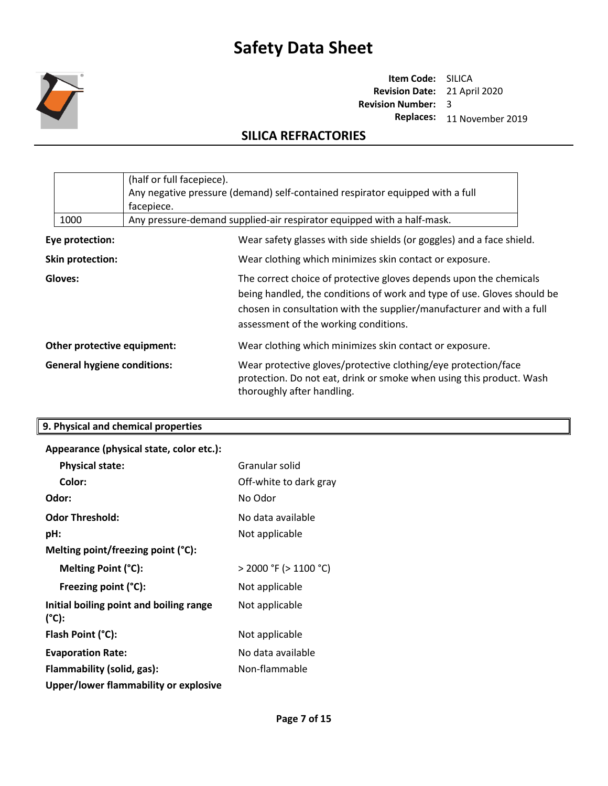

**Item Code:** SILICA **Revision Date:** 21 April 2020 **Revision Number:**  3 **Replaces:** 11 November 2019

## **SILICA REFRACTORIES**

|                                                                   | (half or full facepiece).<br>Any negative pressure (demand) self-contained respirator equipped with a full<br>facepiece. |  |                                                                                                                                                                                                                                                                 |
|-------------------------------------------------------------------|--------------------------------------------------------------------------------------------------------------------------|--|-----------------------------------------------------------------------------------------------------------------------------------------------------------------------------------------------------------------------------------------------------------------|
|                                                                   | 1000                                                                                                                     |  | Any pressure-demand supplied-air respirator equipped with a half-mask.                                                                                                                                                                                          |
|                                                                   | Eye protection:                                                                                                          |  | Wear safety glasses with side shields (or goggles) and a face shield.                                                                                                                                                                                           |
|                                                                   | Skin protection:                                                                                                         |  | Wear clothing which minimizes skin contact or exposure.                                                                                                                                                                                                         |
| Gloves:                                                           |                                                                                                                          |  | The correct choice of protective gloves depends upon the chemicals<br>being handled, the conditions of work and type of use. Gloves should be<br>chosen in consultation with the supplier/manufacturer and with a full<br>assessment of the working conditions. |
| Other protective equipment:<br><b>General hygiene conditions:</b> |                                                                                                                          |  | Wear clothing which minimizes skin contact or exposure.                                                                                                                                                                                                         |
|                                                                   |                                                                                                                          |  | Wear protective gloves/protective clothing/eye protection/face<br>protection. Do not eat, drink or smoke when using this product. Wash<br>thoroughly after handling.                                                                                            |

| 9. Physical and chemical properties                        |                            |
|------------------------------------------------------------|----------------------------|
| Appearance (physical state, color etc.):                   |                            |
| <b>Physical state:</b>                                     | Granular solid             |
| Color:                                                     | Off-white to dark gray     |
| Odor:                                                      | No Odor                    |
| <b>Odor Threshold:</b>                                     | No data available          |
| pH:                                                        | Not applicable             |
| Melting point/freezing point (°C):                         |                            |
| Melting Point (°C):                                        | $>$ 2000 °F ( $>$ 1100 °C) |
| Freezing point (°C):                                       | Not applicable             |
| Initial boiling point and boiling range<br>$(^{\circ}C)$ : | Not applicable             |
| Flash Point (°C):                                          | Not applicable             |
| <b>Evaporation Rate:</b>                                   | No data available          |
| Flammability (solid, gas):                                 | Non-flammable              |

**Upper/lower flammability or explosive**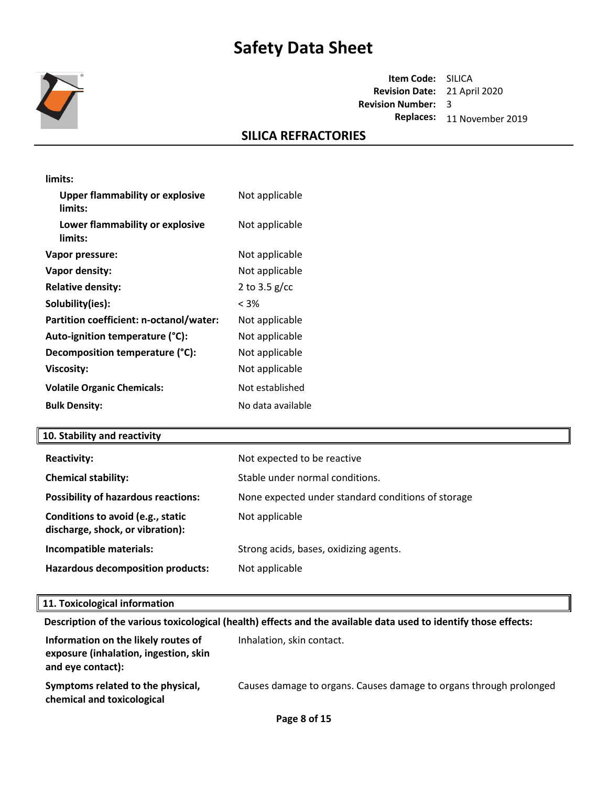

**Item Code:** SILICA **Revision Date:** 21 April 2020 **Revision Number:**  3 **Replaces:** 11 November 2019

## **SILICA REFRACTORIES**

| limits:                                           |                   |
|---------------------------------------------------|-------------------|
| <b>Upper flammability or explosive</b><br>limits: | Not applicable    |
| Lower flammability or explosive<br>limits:        | Not applicable    |
| Vapor pressure:                                   | Not applicable    |
| Vapor density:                                    | Not applicable    |
| <b>Relative density:</b>                          | 2 to 3.5 $g/cc$   |
| Solubility(ies):                                  | < 3%              |
| Partition coefficient: n-octanol/water:           | Not applicable    |
| Auto-ignition temperature (°C):                   | Not applicable    |
| Decomposition temperature (°C):                   | Not applicable    |
| <b>Viscosity:</b>                                 | Not applicable    |
| <b>Volatile Organic Chemicals:</b>                | Not established   |
| <b>Bulk Density:</b>                              | No data available |

#### **10. Stability and reactivity**

| <b>Reactivity:</b>                                                    | Not expected to be reactive                        |
|-----------------------------------------------------------------------|----------------------------------------------------|
| <b>Chemical stability:</b>                                            | Stable under normal conditions.                    |
| <b>Possibility of hazardous reactions:</b>                            | None expected under standard conditions of storage |
| Conditions to avoid (e.g., static<br>discharge, shock, or vibration): | Not applicable                                     |
| Incompatible materials:                                               | Strong acids, bases, oxidizing agents.             |
| <b>Hazardous decomposition products:</b>                              | Not applicable                                     |

#### **11. Toxicological information**

**Description of the various toxicological (health) effects and the available data used to identify those effects:**

| Information on the likely routes of<br>exposure (inhalation, ingestion, skin<br>and eye contact): | Inhalation, skin contact.                                          |
|---------------------------------------------------------------------------------------------------|--------------------------------------------------------------------|
| Symptoms related to the physical,<br>chemical and toxicological                                   | Causes damage to organs. Causes damage to organs through prolonged |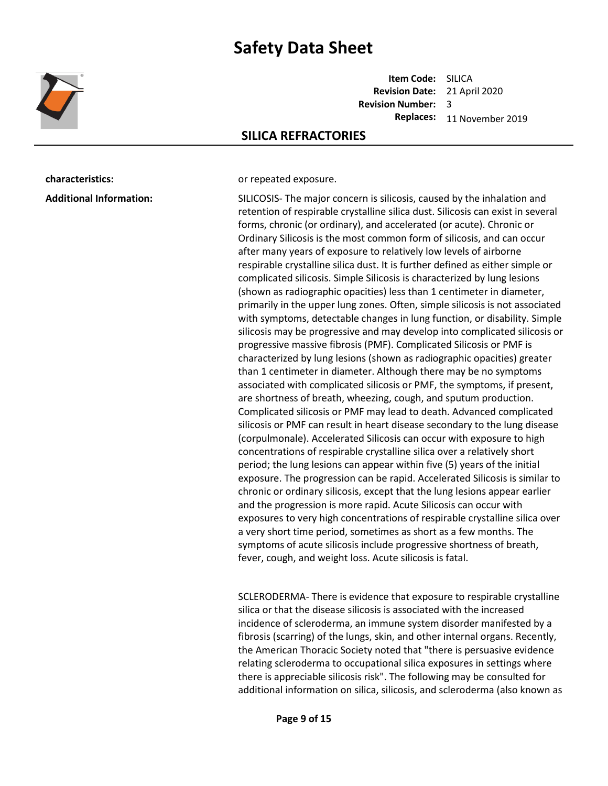

**Item Code:** SILICA **Revision Date:** 21 April 2020 **Revision Number:**  3 **Replaces:** 11 November 2019

### **SILICA REFRACTORIES**

**characteristics: characteristics: or repeated exposure.** 

**Additional Information:** SILICOSIS- The major concern is silicosis, caused by the inhalation and

retention of respirable crystalline silica dust. Silicosis can exist in several forms, chronic (or ordinary), and accelerated (or acute). Chronic or Ordinary Silicosis is the most common form of silicosis, and can occur after many years of exposure to relatively low levels of airborne respirable crystalline silica dust. It is further defined as either simple or complicated silicosis. Simple Silicosis is characterized by lung lesions (shown as radiographic opacities) less than 1 centimeter in diameter, primarily in the upper lung zones. Often, simple silicosis is not associated with symptoms, detectable changes in lung function, or disability. Simple silicosis may be progressive and may develop into complicated silicosis or progressive massive fibrosis (PMF). Complicated Silicosis or PMF is characterized by lung lesions (shown as radiographic opacities) greater than 1 centimeter in diameter. Although there may be no symptoms associated with complicated silicosis or PMF, the symptoms, if present, are shortness of breath, wheezing, cough, and sputum production. Complicated silicosis or PMF may lead to death. Advanced complicated silicosis or PMF can result in heart disease secondary to the lung disease (corpulmonale). Accelerated Silicosis can occur with exposure to high concentrations of respirable crystalline silica over a relatively short period; the lung lesions can appear within five (5) years of the initial exposure. The progression can be rapid. Accelerated Silicosis is similar to chronic or ordinary silicosis, except that the lung lesions appear earlier and the progression is more rapid. Acute Silicosis can occur with exposures to very high concentrations of respirable crystalline silica over a very short time period, sometimes as short as a few months. The symptoms of acute silicosis include progressive shortness of breath, fever, cough, and weight loss. Acute silicosis is fatal.

SCLERODERMA- There is evidence that exposure to respirable crystalline silica or that the disease silicosis is associated with the increased incidence of scleroderma, an immune system disorder manifested by a fibrosis (scarring) of the lungs, skin, and other internal organs. Recently, the American Thoracic Society noted that "there is persuasive evidence relating scleroderma to occupational silica exposures in settings where there is appreciable silicosis risk". The following may be consulted for additional information on silica, silicosis, and scleroderma (also known as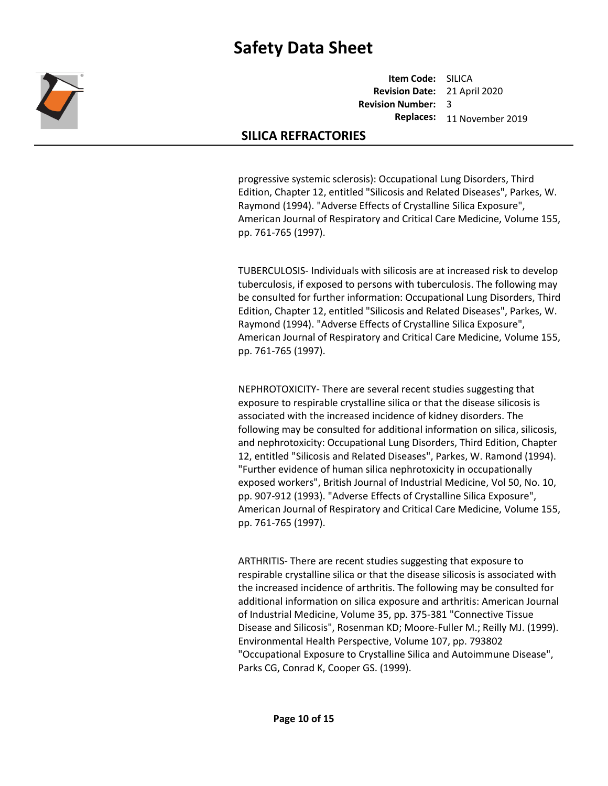

**Item Code:** SILICA **Revision Date:** 21 April 2020 **Revision Number:**  3 **Replaces:** 11 November 2019

### **SILICA REFRACTORIES**

progressive systemic sclerosis): Occupational Lung Disorders, Third Edition, Chapter 12, entitled "Silicosis and Related Diseases", Parkes, W. Raymond (1994). "Adverse Effects of Crystalline Silica Exposure", American Journal of Respiratory and Critical Care Medicine, Volume 155, pp. 761-765 (1997).

TUBERCULOSIS- Individuals with silicosis are at increased risk to develop tuberculosis, if exposed to persons with tuberculosis. The following may be consulted for further information: Occupational Lung Disorders, Third Edition, Chapter 12, entitled "Silicosis and Related Diseases", Parkes, W. Raymond (1994). "Adverse Effects of Crystalline Silica Exposure", American Journal of Respiratory and Critical Care Medicine, Volume 155, pp. 761-765 (1997).

NEPHROTOXICITY- There are several recent studies suggesting that exposure to respirable crystalline silica or that the disease silicosis is associated with the increased incidence of kidney disorders. The following may be consulted for additional information on silica, silicosis, and nephrotoxicity: Occupational Lung Disorders, Third Edition, Chapter 12, entitled "Silicosis and Related Diseases", Parkes, W. Ramond (1994). "Further evidence of human silica nephrotoxicity in occupationally exposed workers", British Journal of Industrial Medicine, Vol 50, No. 10, pp. 907-912 (1993). "Adverse Effects of Crystalline Silica Exposure", American Journal of Respiratory and Critical Care Medicine, Volume 155, pp. 761-765 (1997).

ARTHRITIS- There are recent studies suggesting that exposure to respirable crystalline silica or that the disease silicosis is associated with the increased incidence of arthritis. The following may be consulted for additional information on silica exposure and arthritis: American Journal of Industrial Medicine, Volume 35, pp. 375-381 "Connective Tissue Disease and Silicosis", Rosenman KD; Moore-Fuller M.; Reilly MJ. (1999). Environmental Health Perspective, Volume 107, pp. 793802 "Occupational Exposure to Crystalline Silica and Autoimmune Disease", Parks CG, Conrad K, Cooper GS. (1999).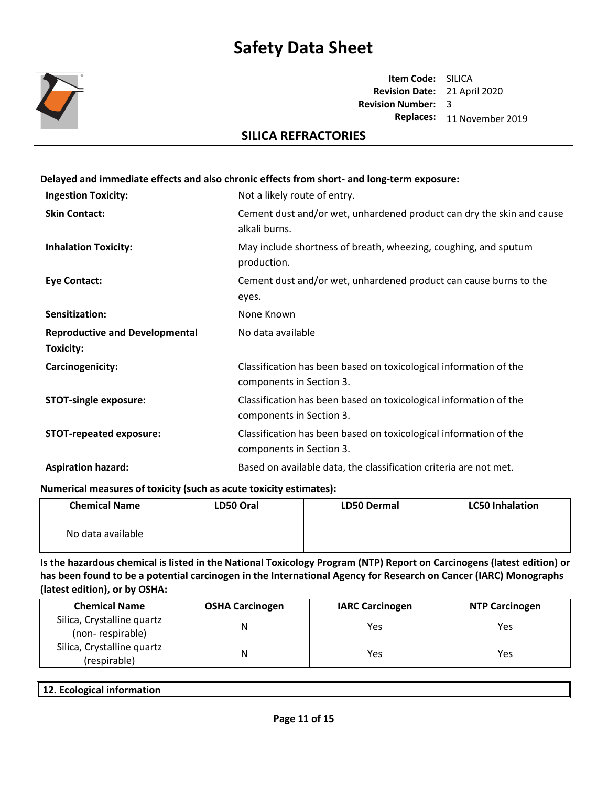

**Item Code:** SILICA **Revision Date:** 21 April 2020 **Revision Number:**  3 **Replaces:** 11 November 2019

### **SILICA REFRACTORIES**

## **Delayed and immediate effects and also chronic effects from short- and long-term exposure: Ingestion Toxicity:** Not a likely route of entry. **Skin Contact:** Cement dust and/or wet, unhardened product can dry the skin and cause alkali burns. **Inhalation Toxicity:** May include shortness of breath, wheezing, coughing, and sputum production. **Eye Contact:** Cement dust and/or wet, unhardened product can cause burns to the eyes. **Sensitization:** None Known **Reproductive and Developmental Toxicity:**  No data available **Carcinogenicity:** Classification has been based on toxicological information of the components in Section 3. **STOT-single exposure:** Classification has been based on toxicological information of the components in Section 3. **STOT-repeated exposure:** Classification has been based on toxicological information of the components in Section 3. **Aspiration hazard:** Based on available data, the classification criteria are not met.

**Numerical measures of toxicity (such as acute toxicity estimates):**

| <b>Chemical Name</b> | LD50 Oral | <b>LD50 Dermal</b> | <b>LC50 Inhalation</b> |
|----------------------|-----------|--------------------|------------------------|
| No data available    |           |                    |                        |

**Is the hazardous chemical is listed in the National Toxicology Program (NTP) Report on Carcinogens (latest edition) or has been found to be a potential carcinogen in the International Agency for Research on Cancer (IARC) Monographs (latest edition), or by OSHA:**

| <b>Chemical Name</b>                           | <b>OSHA Carcinogen</b> | <b>IARC Carcinogen</b> | <b>NTP Carcinogen</b> |
|------------------------------------------------|------------------------|------------------------|-----------------------|
| Silica, Crystalline quartz<br>(non-respirable) |                        | Yes                    | Yes                   |
| Silica, Crystalline quartz<br>(respirable)     | N                      | Yes                    | Yes                   |

| $\vert$ 12.<br>. Ecological information<br>. . |  |
|------------------------------------------------|--|
|                                                |  |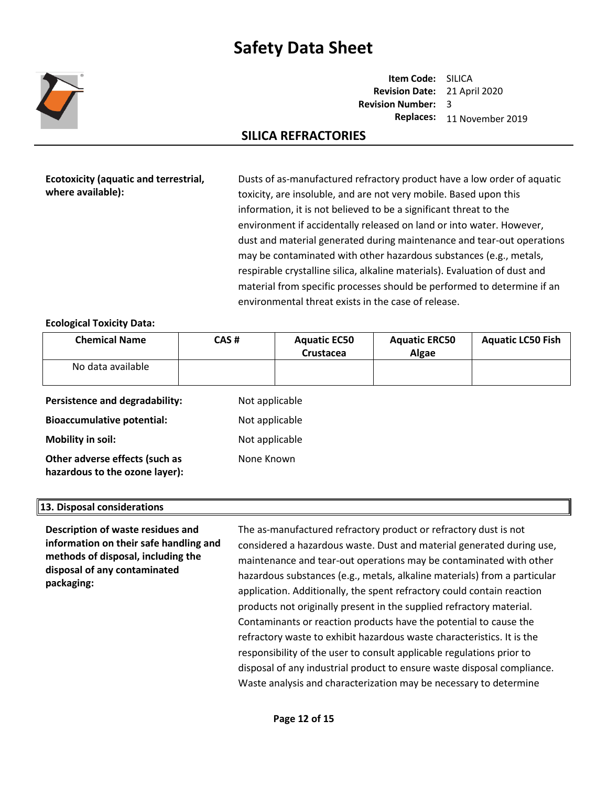

**Item Code:** SILICA **Revision Date:** 21 April 2020 **Revision Number:**  3 **Replaces:** 11 November 2019

## **SILICA REFRACTORIES**

**Ecotoxicity (aquatic and terrestrial, where available):**

Dusts of as-manufactured refractory product have a low order of aquatic toxicity, are insoluble, and are not very mobile. Based upon this information, it is not believed to be a significant threat to the environment if accidentally released on land or into water. However, dust and material generated during maintenance and tear-out operations may be contaminated with other hazardous substances (e.g., metals, respirable crystalline silica, alkaline materials). Evaluation of dust and material from specific processes should be performed to determine if an environmental threat exists in the case of release.

### **Ecological Toxicity Data:**

| <b>Chemical Name</b>           | CAS#           | <b>Aquatic EC50</b><br>Crustacea | <b>Aquatic ERC50</b><br>Algae | <b>Aquatic LC50 Fish</b> |
|--------------------------------|----------------|----------------------------------|-------------------------------|--------------------------|
| No data available              |                |                                  |                               |                          |
| Persistence and degradability: | Not applicable |                                  |                               |                          |

**Bioaccumulative potential:** Not applicable **Mobility in soil:** Not applicable **Other adverse effects (such as hazardous to the ozone layer):** None Known

#### **13. Disposal considerations**

**Description of waste residues and information on their safe handling and methods of disposal, including the disposal of any contaminated packaging:** 

The as-manufactured refractory product or refractory dust is not considered a hazardous waste. Dust and material generated during use, maintenance and tear-out operations may be contaminated with other hazardous substances (e.g., metals, alkaline materials) from a particular application. Additionally, the spent refractory could contain reaction products not originally present in the supplied refractory material. Contaminants or reaction products have the potential to cause the refractory waste to exhibit hazardous waste characteristics. It is the responsibility of the user to consult applicable regulations prior to disposal of any industrial product to ensure waste disposal compliance. Waste analysis and characterization may be necessary to determine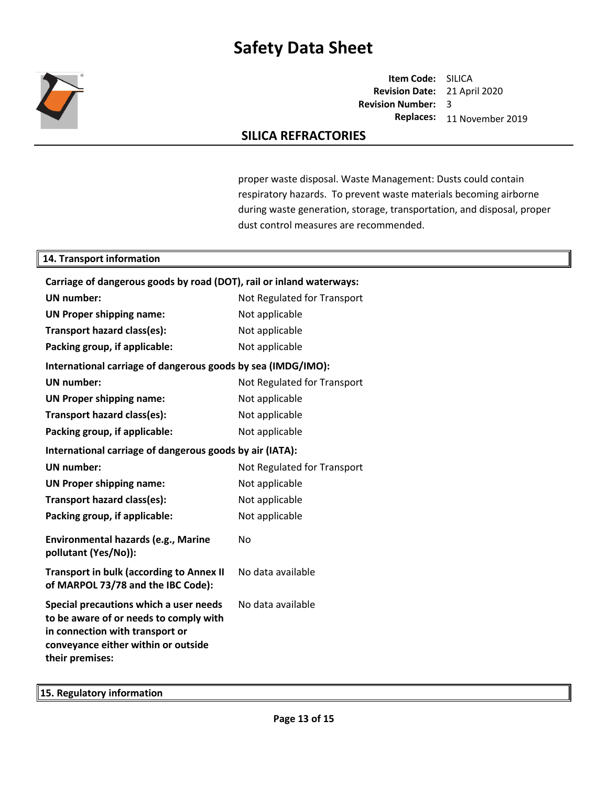

**Item Code:** SILICA **Revision Date:** 21 April 2020 **Revision Number:**  3 **Replaces:** 11 November 2019

### **SILICA REFRACTORIES**

proper waste disposal. Waste Management: Dusts could contain respiratory hazards. To prevent waste materials becoming airborne during waste generation, storage, transportation, and disposal, proper dust control measures are recommended.

#### **14. Transport information**

| Carriage of dangerous goods by road (DOT), rail or inland waterways:                                                                                                          |                             |
|-------------------------------------------------------------------------------------------------------------------------------------------------------------------------------|-----------------------------|
| <b>UN</b> number:                                                                                                                                                             | Not Regulated for Transport |
| <b>UN Proper shipping name:</b>                                                                                                                                               | Not applicable              |
| Transport hazard class(es):                                                                                                                                                   | Not applicable              |
| Packing group, if applicable:                                                                                                                                                 | Not applicable              |
| International carriage of dangerous goods by sea (IMDG/IMO):                                                                                                                  |                             |
| <b>UN</b> number:                                                                                                                                                             | Not Regulated for Transport |
| <b>UN Proper shipping name:</b>                                                                                                                                               | Not applicable              |
| Transport hazard class(es):                                                                                                                                                   | Not applicable              |
| Packing group, if applicable:                                                                                                                                                 | Not applicable              |
| International carriage of dangerous goods by air (IATA):                                                                                                                      |                             |
| <b>UN number:</b>                                                                                                                                                             | Not Regulated for Transport |
| <b>UN Proper shipping name:</b>                                                                                                                                               | Not applicable              |
| Transport hazard class(es):                                                                                                                                                   | Not applicable              |
| Packing group, if applicable:                                                                                                                                                 | Not applicable              |
| Environmental hazards (e.g., Marine<br>pollutant (Yes/No)):                                                                                                                   | No                          |
| <b>Transport in bulk (according to Annex II</b><br>of MARPOL 73/78 and the IBC Code):                                                                                         | No data available           |
| Special precautions which a user needs<br>to be aware of or needs to comply with<br>in connection with transport or<br>conveyance either within or outside<br>their premises: | No data available           |

**15. Regulatory information**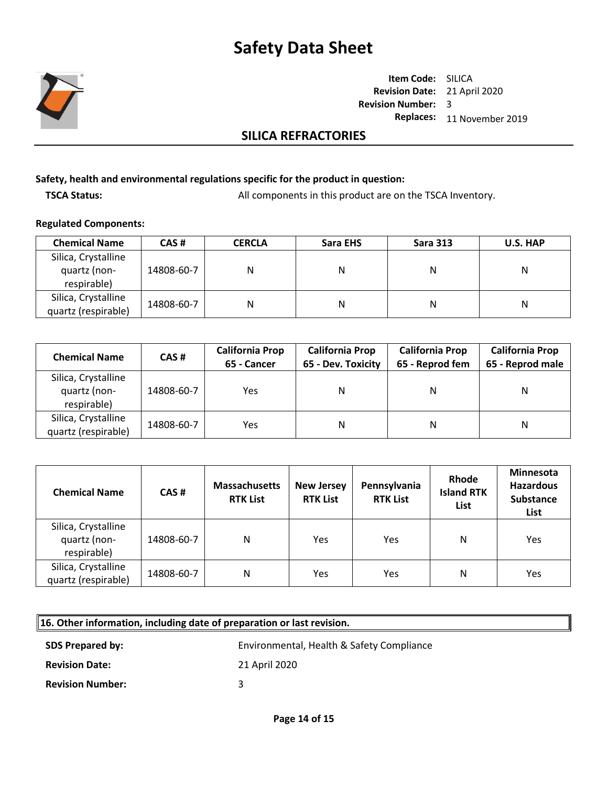

**Item Code:** SILICA **Revision Date:** 21 April 2020 **Revision Number:**  3 **Replaces:** 11 November 2019

### **SILICA REFRACTORIES**

#### **Safety, health and environmental regulations specific for the product in question:**

**TSCA Status:** All components in this product are on the TSCA Inventory.

#### **Regulated Components:**

| <b>Chemical Name</b>                               | CAS#       | <b>CERCLA</b> | Sara EHS | <b>Sara 313</b> | U.S. HAP |
|----------------------------------------------------|------------|---------------|----------|-----------------|----------|
| Silica, Crystalline<br>quartz (non-<br>respirable) | 14808-60-7 | Ν             | Ν        | Ν               | Ν        |
| Silica, Crystalline<br>quartz (respirable)         | 14808-60-7 | Ν             | Ν        | Ν               | Ν        |

| <b>Chemical Name</b>                               | CAS#       | <b>California Prop</b><br>65 - Cancer | <b>California Prop</b><br>65 - Dev. Toxicity | <b>California Prop</b><br>65 - Reprod fem |   |
|----------------------------------------------------|------------|---------------------------------------|----------------------------------------------|-------------------------------------------|---|
| Silica, Crystalline<br>quartz (non-<br>respirable) | 14808-60-7 | Yes                                   | N                                            | N                                         | N |
| Silica, Crystalline<br>quartz (respirable)         | 14808-60-7 | Yes                                   | N                                            | N                                         | Ν |

| <b>Chemical Name</b>                               | CAS#       | <b>Massachusetts</b><br><b>RTK List</b> | <b>New Jersey</b><br><b>RTK List</b> | Pennsylvania<br><b>RTK List</b> | Rhode<br><b>Island RTK</b><br>List | Minnesota<br><b>Hazardous</b><br><b>Substance</b><br>List |
|----------------------------------------------------|------------|-----------------------------------------|--------------------------------------|---------------------------------|------------------------------------|-----------------------------------------------------------|
| Silica, Crystalline<br>quartz (non-<br>respirable) | 14808-60-7 | Ν                                       | Yes                                  | Yes                             | N                                  | Yes                                                       |
| Silica, Crystalline<br>quartz (respirable)         | 14808-60-7 | N                                       | Yes                                  | Yes                             | N                                  | Yes                                                       |

| 16. Other information, including date of preparation or last revision. |                                           |
|------------------------------------------------------------------------|-------------------------------------------|
| <b>SDS Prepared by:</b>                                                | Environmental, Health & Safety Compliance |
| <b>Revision Date:</b>                                                  | 21 April 2020                             |
| <b>Revision Number:</b>                                                | 2                                         |